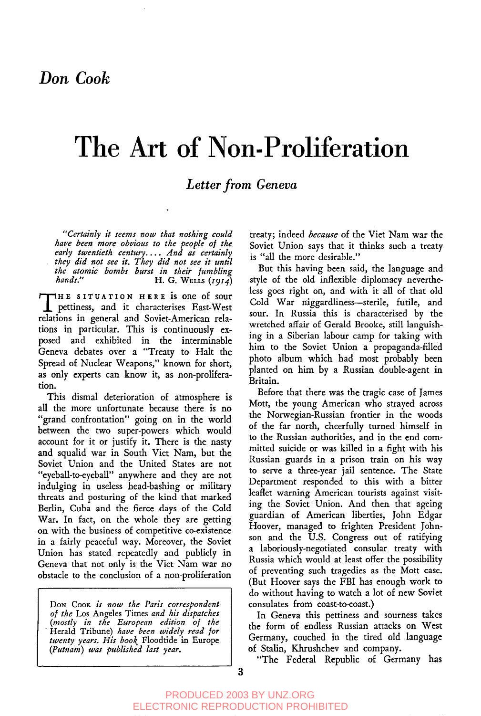# **The Art of Non-Proliferation**

# *Letter from Geneva*

*"'Certainly it seems now that nothing could have been more obvious to the people of the early twentieth century .... .4nd as certainly they did not see it. They did not see it until the atomic bombs burst in their fumbling hands."* H.G. WELLS *(XgZ4)*

THE SITUATION HERE is one of sour<br>pettiness, and it characterises East-West HHE SITUATION HERE is one of sour relations in general and Soviet-American relations in particular. This is continuously exposed and exhibited in the interminable Geneva debates over a "Treaty to Halt the Spread of Nuclear Weapons," known for short, as only experts can know it, as non-prollferation.

This dismal deterioration of atmosphere is all the more unfortunate because there is no "grand confrontation" going on in the world between the two super-powers which would account for it or justify it. There is the nasty and squalid war in South Viet Nam, but the Soviet Union and the United States are not "eyeball-to-eyeball" anywhere and they are not indulging in useless head-bashing or military threats and posturing of the kind that marked Berlin, Cuba and the fierce days of the Cold War. In fact, on the whole they are getting on with the business of competitive co-existence in a fairly peaceful way. Moreover, the Soviet Union has stated repeatedly and publicly in Geneva that not only is the Viet Nam war no obstacle to the conclusion of a non-proliferatlon

Don Cook is now the Paris correspondent *of the* Los Angeles Times *and his dispatches (mostly in the European edition of the* " Herald Tribune) *have been widely read for twenty years. His book* Floodtide in Europe *(Putnam) was published last year.*

treaty; indeed *because* of the Viet Nam war the Soviet Union says that it thinks such a treaty is "all the more desirable."

But this having been said, the language and style of the old inflexible diplomacy nevertheless goes right on, and with it all of that old Cold War niggardliness--sterile, futile, and sour. In Russia this is characterised by the wretched affair of Gerald Brooke, still languishing in a Siberian labour camp for taking with him to the Soviet Union a propaganda-filled photo album which had most probably been planted on him by a Russian double-agent in Britain.

Before that there was the tragic case of James Mott, the young American who strayed across the Norwegian-Russian frontier in the woods of the far north, cheerfully turned himself in to the Russian authorities, and in the end committed suicide or was killed in a fight with his Russian guards in a prison train on his way to serve a three-year jail sentence. The State Department responded to this with a bitter leaflet warning American tourists against visiting the Soviet Union. And then that ageing guardian of American liberties, John Edgar Hoover, managed to frighten President Johnson and the U.S. Congress out of ratifying a laboriously-negotiated consular treaty with Russia which would at least offer the possibility of preventing such tragedies as the Mott case. (But Hoover says the FBI has enough work to do without having to watch a lot of new Soviet consulates from coast-to-coast.)

In Geneva this pettiness and sourness takes the form of endless Russian attacks on West Germany, couched in the tired old language of Stalin, Khrushchev and company.

"The Federal Republic of Germany has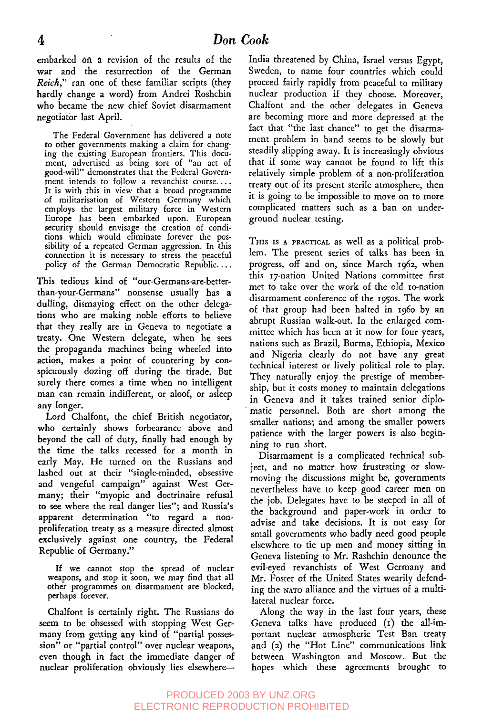embarked 0n a revision of the results of the war and the resurrection of the German *Reich,"* ran one of these familiar scripts (they hardly change a word) from Andrei Roshchin who became the new chief Soviet disarmament negotiator last April.

The Federal Government has delivered a note to other governments making a claim for changing the existing European frontiers. This document, advertised as being sort of "an act of good-will" demonstrates that the Federal Government intends to follow a revanchist course.... It is with this in view that a broad programme of militarisation of Western Germany which employs the largest military force in Western Europe has been embarked upon. European security should envisage the creation of conditions which would eliminate forever the possibility of a repeated German aggression. In this connection it is necessary to stress the peaceful policy of the German Democratic Republic....

**This** tedious kind of "our-Germans-are-betterthan-your-Germans" nonsense usually has a dulling, dismaying effect on the other delegations who are making noble efforts to believe that they really are in Geneva to negotiate a treaty. One Western delegate, when he sees the propaganda machines being wheeled into action, makes a point of countering by conspicuously dozing off during the tirade. But surely there comes a time when no intelligent man can remain indifferent, or aloof, or asleep any longer.

Lord Chalfont, the chief British negotiator, who certainly shows forbearance above and beyond the call of duty, finally had enough by the time the talks recessed for a month in early May. He turned on the Russians and lashed out at their "single-minded, obsessive and vengeful campaign" against West Germany; their "myopic and doctrinaire refusal to see where the real danger lies"; and Russia's apparent determination "to regard a nonproliferation treaty as a measure directed almost exclusively against one country, the Federal Republic of Germany."

If we cannot stop the spread of nuclear weapons, and stop it soon, we may find that all other programmes on disarmament are blocked, perhaps forever.

Chalfont is certainly right. The Russians do seem to be obsessed with stopping West Germany from getting any kind of "partial possession" or "partial control" over nuclear weapons, even though in fact the immediate danger of nuclear proliferation obviously lies elsewhereIndia threatened by China, Israel versus Egypt, Sweden, to name four countries which could proceed fairly rapidly from peaceful to military nuclear production if they choose. Moreover, Chalfont and the other delegates in Geneva are becoming more and more depressed at the fact that "the last chance" to get the disarmament problem in hand seems to be slowly but steadily slipping away. It is increasingly obvious that if some way cannot be found to lift this relatively simple problem of a non-proliferation treaty out of its present sterile atmosphere, then it is going to be impossible to move on to more complicated matters such as a ban on underground nuclear testing.

THIS Is A PRACTICAL as well as a political problem. The present series of talks has been in progress, off and on, since March i962, when this IT-nation United Nations committee first met to take over the work of the old to-nation disarmament conference of the r95os. The work of that group had been halted in i96o by an abrupt Russian walk-out. In the enlarged committee which has been at it now for four years, nations such as Brazil, Burma, Ethiopia, Mexico and Nigeria clearly do not have any great technical interest or lively political role to play. They naturally enjoy the prestige of membership, but it costs money to maintain delegations in Geneva and it takes trained senior diplomatic personnel. Both are short among the smaller nations; and among the smaller powers patience with the larger powers is also beginning to run short.

Disarmament is a complicated technical subject, and no matter how frustrating or slowmoving the discussions might be, governments nevertheless have to keep good career men on the job. Delegates have to be steeped in all of the background and paper-work in order to advise and take decisions. It is not easy for small governments who badly need good people elsewhere to tie up men and money sitting in Geneva listening to Mr. Rashchin denounce the evil-eyed revanchists of West Germany and Mr. Foster of the United States wearily defending the NATO alliance and the virtues of a multilateral nuclear force.

Along the way in the last four years, these Geneva talks have produced (I) the all-important nuclear atmospheric Test Ban treaty and (2) the "Hot Line" communications link between Washington and Moscow. But the hopes which these agreements brought to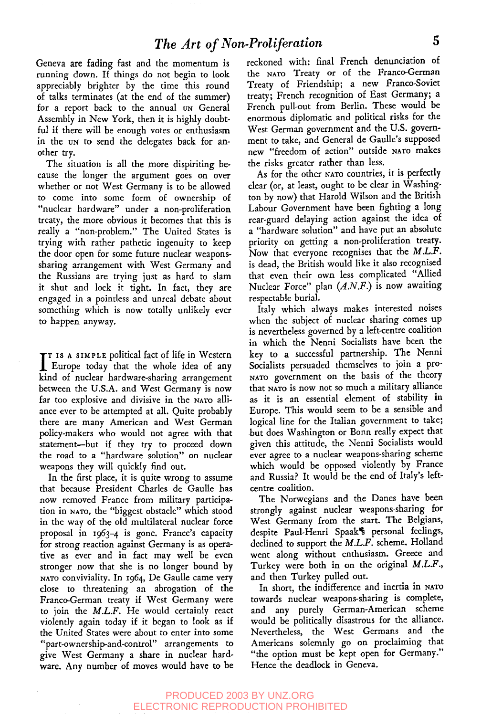Geneva are fading fast and the momentum is running down. If things do not begin to look appreciably brighter by the time this round of talks terminates (at the end of the summer) for a report back to the annual un General Assembly in New York, then it is highly doubtful if there will be enough votes or enthusiasm in the un to send the delegates back for another try.

The situation is all the more dispiriting because the longer the argument goes on over whether or not West Germany is to be allowed to come into some form of ownership of "nuclear hardware" under a non-proliferation treaty, the more obvious it becomes that this is really a "non-problem." The United States is trying with rather pathetic ingenuity to keep the door open for some future nuclear weaponssharing arrangement with West Germany and the Russians are trying just as hard to slam it shut and lock it tight. In fact, they are engaged in a pointless and unreal debate about something which is now totally unlikely ever to happen anyway.

I<sup>T IS</sup> A SIMPLE political fact of life in Western<br>Europe today that the whole idea of any  $\mathbf T$  is a simple political fact of life in Western kind of nuclear hardware-sharing arrangement between the U.S.A. and West Germany is now far too explosive and divisive in the NATO alliance ever to be attempted at all. Quite probably there are many American and West German Policy-makers who would not agree with that statement--but if they try to proceed down the road to a "hardware solution" on nuclear weapons they will quickly find out.

In the first place, it is quite wrong to assume that because President Charles de Gaulle has now removed France from military participation in NATO, the "biggest obstacle" which stood in the way of the old multilateral nuclear force proposal in I963-4 is gone. France's capacity for strong reaction against Germany is as operative as ever and in fact may well be even stronger now that she is no longer bound by NATO conviviality. In 1964, De Gaulle came very close to threatening an abrogation of the Franco-German treaty if West Germany were to join the *M.L.F.* He would certainly react violently again today if it began to look as if the United States were about to enter into some "part-ownership-and-comrol" arrangements to give West Germany a share in nuclear hardware. Any number of moves would have to be

reckoned with: final French denunciation of the NATO Treaty or of the Franco-German Treaty of Friendship; a new Franco-Soviet treaty; French recognition of East Germany; a French pull-out from Berlin. These would be enormous diplomatic and political risks for the West German government and the U.S. government to take, and General de Gaulle's supposed new "freedom of action" outside NATO makes the risks greater rather than less.

As for the other NATO countries, it is perfectly clear (or, at least, ought to be clear in Washington by now) that Harold Wilson and the British Labour Government have been fighting a long rear-guard delaying action against the idea of a "hardware solution" and have put an absolute priority on getting a non-proliferation treaty. Now that everyone recognises that the *M.L.F.* is dead, the British would like it also recognised that even their own less complicated "Allied Nuclear Force" plan *(A.N.F.)* is now awaiting respectable burial.

Italy which always makes interested noises when the subject of nuclear sharing comes up is nevertheless governed by a left-centre coalition in which the Nenni Socialists have been the key to a successful partnership. The Nenni Socialists persuaded themselves to join a pro-NATO government on the basis of the theory that NATO is now not so much a military alliance as it is an essential element of stability in Europe. This would seem to be a sensible and logical line for the Italian government to take; .but does Washington or Bonn really expect that given this attitude, the Nenni Socialists would ever agree to a nuclear weapons-sharing scheme which would be opposed violently by France and Russia? It would be the end of Italy's leftcentre coalition.

The Norwegians and the Danes have been strongly against nuclear weapons-sharing for West Germany from the start. The Belgians, despite Paul-Henri Spaak<sup>\*</sup> personal feelings, declined to support the *M.L.F.* scheme. Holland went along without enthusiasm. Greece and Turkey were both in on the original *M.L.F.,* and then Turkey pulled out.

In short, the indifference and inertia in towards nuclear weapons-sharing is complete, and any purely German-American scheme would be politically disastrous for the alliance. Nevertheless, the West Germans and the Americans solemnly go on proclaiming that "the option must be kept open for Germany." Hence the deadlock in Geneva.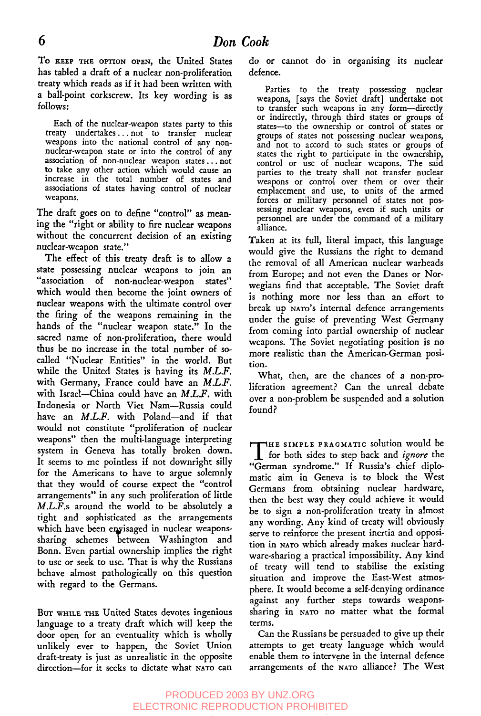To KEEP THE OPTION OPEN, the United States has tabled a draft of a nuclear non-proliferation treaty which reads as if it had been written with a ball-point corkscrew. Its key wording is as follows:

Each of the nuclear-weapon states party to this treaty undertakes.., not to transfer nuclear weapons into the national control of any nonnuclear-weapon state or into the control of any association of non-nuclear weapon states.., not to take any other action which would cause an increase in the total number of states and associations of states having control of nuclear weapons.

The draft goes on to define *"'control"* as meaning the "right or ability to fire nuclear weapons without the concurrent decision of an existing nuclear-weapon state."

The effect of this treaty draft is to allow a state possessing nuclear weapons to join an "association of non-nuclear-weapon states" which would then become the joint owners of nuclear weapons with the ultimate control over the firing of the weapons remaining in the hands of the "nuclear weapon state." In the sacred name of non-proliferation, there would thus be no increase in the total number of socalled "Nuclear Entities" in the world. But while the United States is having its *M.L.F.* with Germany, France could have an *M.L.F.* with Israel--China could have an *M.L.F.* with Indonesia or North Viet Nam--Russia could have an *M.L.F.* with Poland-and if that would not constitute "proliferation of nuclear weapons" then the multi-language interpreting system in Geneva has totally broken down. It seems to me pointless if not downright silly for the Americans to have to argue solemnly that they would of course expect the "control arrangements" in any such proliferation of little *M.L.F.s* around the world to be absolutely a tight and sophisticated as the arrangements which have been envisaged in nuclear weaponssharing schemes between Washington and Bonn. Even partial ownership implies the right to use or seek to use. That is why the Russians behave almost pathologically on this question with regard to the Germans.

BUT WHILE THE United States devotes ingenious language to a treaty draft which will keep the door open for an eventuality which is wholly unlikely ever to happen, the Soviet Union draft-treaty is just as unrealistic in the opposite direction-for it seeks to dictate what NATO can

do or cannot do in organising its nuclear dcfence.

Parties to the treaty possessing nuclear weapons, [says the Soviet draft] undertake not to transfer such weapons in any form--directly or indirectly, through third states or groups of states--to the ownership or control of states or groups of states not possessing nuclear weapons, and not to accord to such states or groups of states the right to participate in the ownership, control or use of nuclear weapons. The said parties to the treaty shall not transfer nuclear weapons or control over them or over their emplacement and use, to units of the armed forces or military personnel of states not possessing nuclear weapons, even if such units or personnel are under the command of a military alliance.

Taken at its full, literal impact, this language would give the Russians the right to demand the removal of all American nuclear warheads from Europe; and not even the Danes or Norwegians find that acceptable. The Soviet draft is nothing more nor less than an effort to break up NATO's internal defence arrangements under the guise of preventing West Germany from coming into partial ownership of nuclear weapons. The Soviet negotiating position is no more realistic than the American-German position.

What, then, are the chances of a non-proliferation agreement? Can the unreal debate over a non-problem be suspended and a solution found?

THE SIMPLE PRAGMATIC solution would b<br>
for both sides to step back and *ignore* th for both sides to step back and *ignore* the "German syndrome." If Russia's chief diplomatic aim in Geneva is to block the West Germans from obtaining nuclear hardware, then the best way they could adhieve it would be to sign a non-proliferation treaty in almost any wording. Any kind of treaty will obviously serve to reinforce the present inertia and opposition in NATO which already makes nuclear hardware-sharing a practical impossibility. Any kind of treaty will tend to stabilise the existing situation and improve the East-West atmosphere. It would become a self-denying ordinance against any further steps towards weaponssharing in NATO no matter what the formal terms.

Can the Russians be persuaded to give up their attempts to get treaty language which would enable them to intervene in the internal defence arrangements of the NATO alliance? The West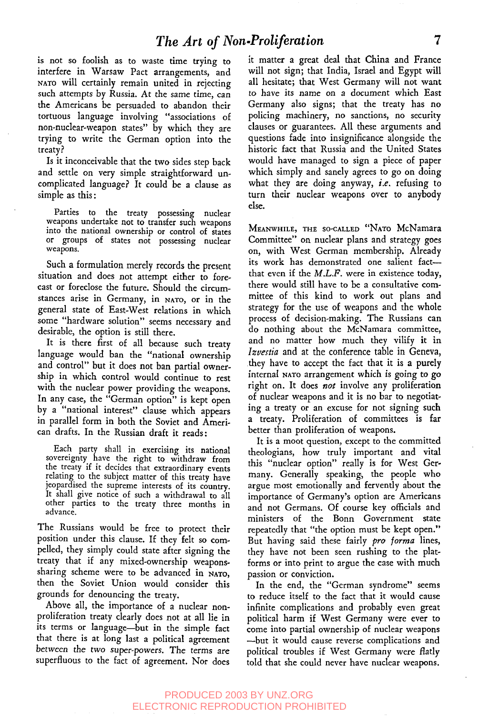is not so foolish as to waste time trying to interfere in Warsaw Pact arrangements, and NATO will certainly remain united in rejecting such attempts by Russia. At the same time, can the Americans be persuaded to abandon their tortuous language involving "associations of non-nuclear-weapon states" by which they are trying to write the German option into the treaty?

Is it inconceivable that the two sides step back and settle on very simple straightforward uncomplicated language? It could be a clause as simple as this:

Parties to the treaty possessing nuclear weapons undertake not to transfer such weapons into the national ownership or control of states or groups of states not possessing nuclear weapons.

Such a formulation merely records the present situation and does not attempt either to forecast or foreclose the future. Should the circumstances arise in Germany, in NATO, or in the general state of East-West relations in which some "hardware solution" seems necessary and desirable, the option is still there.

It is there first of all because such treaty language would ban the "national ownership and control" but it does not ban partial ownership ia which control would continue to rest with the nuclear power providing the weapons. In any case, the "German option" is kept open by a "national interest" clause which appears in parallel form in both the Soviet and American drafts. In the Russian draft it reads:

Each party shall in exercising its national sovereignty have the right to withdraw from the treaty if it decides that extraordinary events relating to the subject matter of this treaty have jeopardised the supreme interests of its country. It shall give notice of such a withdrawal to all other parties to the treaty three months in advance.

The Russians would be free to protect their position under this clause. If they felt so compelled, they simply could state after signing the treaty that if any mixed-ownership weaponssharing scheme were to be advanced in NATO, then the Soviet Union would consider this grounds for denouncing the treaty.

Above all, the importance of a nuclear nonproliferation treaty clearly does not at all lie in its terms or language-but in the simple fact that there is at long last a political agreement between the *two super-powers.* The terms are superfluous to the fact of agreement. *Nor* does

it matter a great deal that China and France will not sign; that India, Israel and Egypt will all hesitate; that West Germany will not want to have its name on a document which East Germany also signs; that the treaty has no policing machinery, no sanctions, no security clauses or guarantees. All these arguments and questions fade into insignificance alongside the historic fact that Russia and the United States would have managed to sign a piece of paper which simply and sanely agrees to go on doing what they are doing anyway, *i.e.* refusing to turn their nuclear weapons over to anybody else.

MEANWHILE, THE SO-CALLED "NATO McNamara Committee" on nuclear plans and strategy goes on, with West German membership. Already its work has demonstrated one salient factthat even if the *M.L.F.* were in existence today, there would still have to be a consultative committee of this kind to work out plans and strategy for the use of weapons and the whole process of decision-making. The Russians can do nothing about the McNamara committee, and no matter how much they vilify it in *Izvestia* and at the conference table in Geneva, .they have to accept the fact that it is a purely internal NATO arrangement which is going to go right on. It does *hoe* involve any proliferation of nuclear weapons and it is no bar to negotiating a treaty or an excuse for not signing such a treaty. Proliferation of committees is far better than proliferation of weapons.

It is a moot question, except to the committed theologians, how truly important and vital this "nuclear option" really is for West Germany. Generally speaking, the people who argue most emotionally and fervendy about the importance of Germany's option are Americans and not Germans. Of course key officials and ministers of the Bonn Government state repeatedly that "the option must be kept open." But having said these fairly *pro [orma* lines, they have not been seen rushing to the platforms or into print to argue the case with much passion or conviction.

In the end, the "German syndrome" seems to reduce itself to the fact that it would cause infinite complications and probably even great political harm if West Germany were ever to come into partial ownership of nuclear weapons --but it would cause reverse complications and political troubles if West Germany were flatly told that she could never have nuclear weapons.